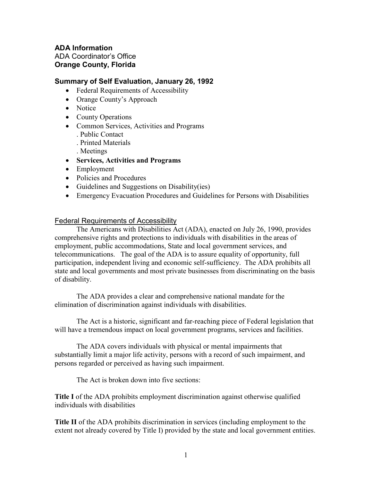## **ADA Information** ADA Coordinator's Office **Orange County, Florida**

## **Summary of Self Evaluation, January 26, 1992**

- Federal Requirements of Accessibility
- Orange County's Approach
- Notice
- County Operations
- Common Services, Activities and Programs . Public Contact . Printed Materials
	- . Meetings
- **Services, Activities and Programs**
- Employment
- Policies and Procedures
- Guidelines and Suggestions on Disability(ies)
- Emergency Evacuation Procedures and Guidelines for Persons with Disabilities

### Federal Requirements of Accessibility

The Americans with Disabilities Act (ADA), enacted on July 26, 1990, provides comprehensive rights and protections to individuals with disabilities in the areas of employment, public accommodations, State and local government services, and telecommunications. The goal of the ADA is to assure equality of opportunity, full participation, independent living and economic self-sufficiency. The ADA prohibits all state and local governments and most private businesses from discriminating on the basis of disability.

The ADA provides a clear and comprehensive national mandate for the elimination of discrimination against individuals with disabilities.

The Act is a historic, significant and far-reaching piece of Federal legislation that will have a tremendous impact on local government programs, services and facilities.

The ADA covers individuals with physical or mental impairments that substantially limit a major life activity, persons with a record of such impairment, and persons regarded or perceived as having such impairment.

The Act is broken down into five sections:

**Title I** of the ADA prohibits employment discrimination against otherwise qualified individuals with disabilities

**Title II** of the ADA prohibits discrimination in services (including employment to the extent not already covered by Title I) provided by the state and local government entities.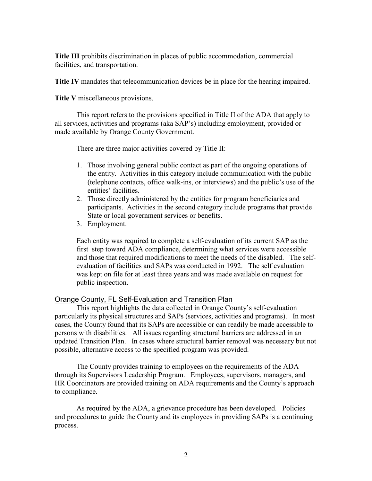**Title III** prohibits discrimination in places of public accommodation, commercial facilities, and transportation.

**Title IV** mandates that telecommunication devices be in place for the hearing impaired.

**Title V** miscellaneous provisions.

This report refers to the provisions specified in Title II of the ADA that apply to all services, activities and programs (aka SAP's) including employment, provided or made available by Orange County Government.

There are three major activities covered by Title II:

- 1. Those involving general public contact as part of the ongoing operations of the entity. Activities in this category include communication with the public (telephone contacts, office walk-ins, or interviews) and the public's use of the entities' facilities.
- 2. Those directly administered by the entities for program beneficiaries and participants. Activities in the second category include programs that provide State or local government services or benefits.
- 3. Employment.

Each entity was required to complete a self-evaluation of its current SAP as the first step toward ADA compliance, determining what services were accessible and those that required modifications to meet the needs of the disabled. The selfevaluation of facilities and SAPs was conducted in 1992. The self evaluation was kept on file for at least three years and was made available on request for public inspection.

#### Orange County, FL Self-Evaluation and Transition Plan

This report highlights the data collected in Orange County's self-evaluation particularly its physical structures and SAPs (services, activities and programs). In most cases, the County found that its SAPs are accessible or can readily be made accessible to persons with disabilities. All issues regarding structural barriers are addressed in an updated Transition Plan. In cases where structural barrier removal was necessary but not possible, alternative access to the specified program was provided.

The County provides training to employees on the requirements of the ADA through its Supervisors Leadership Program. Employees, supervisors, managers, and HR Coordinators are provided training on ADA requirements and the County's approach to compliance.

As required by the ADA, a grievance procedure has been developed. Policies and procedures to guide the County and its employees in providing SAPs is a continuing process.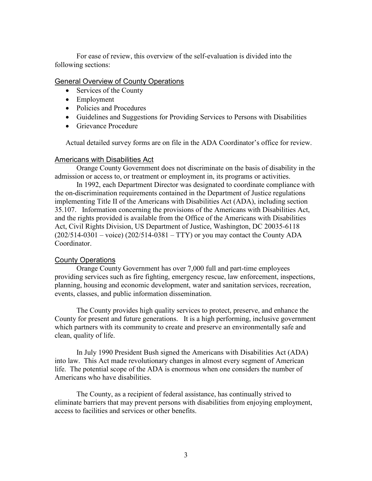For ease of review, this overview of the self-evaluation is divided into the following sections:

### General Overview of County Operations

- Services of the County
- Employment
- Policies and Procedures
- Guidelines and Suggestions for Providing Services to Persons with Disabilities
- Grievance Procedure

Actual detailed survey forms are on file in the ADA Coordinator's office for review.

#### Americans with Disabilities Act

Orange County Government does not discriminate on the basis of disability in the admission or access to, or treatment or employment in, its programs or activities.

In 1992, each Department Director was designated to coordinate compliance with the on-discrimination requirements contained in the Department of Justice regulations implementing Title II of the Americans with Disabilities Act (ADA), including section 35.107. Information concerning the provisions of the Americans with Disabilities Act, and the rights provided is available from the Office of the Americans with Disabilities Act, Civil Rights Division, US Department of Justice, Washington, DC 20035-6118  $(202/514-0301 - \text{voice})$   $(202/514-0381 - TTY)$  or you may contact the County ADA Coordinator.

#### County Operations

Orange County Government has over 7,000 full and part-time employees providing services such as fire fighting, emergency rescue, law enforcement, inspections, planning, housing and economic development, water and sanitation services, recreation, events, classes, and public information dissemination.

The County provides high quality services to protect, preserve, and enhance the County for present and future generations. It is a high performing, inclusive government which partners with its community to create and preserve an environmentally safe and clean, quality of life.

In July 1990 President Bush signed the Americans with Disabilities Act (ADA) into law. This Act made revolutionary changes in almost every segment of American life. The potential scope of the ADA is enormous when one considers the number of Americans who have disabilities.

The County, as a recipient of federal assistance, has continually strived to eliminate barriers that may prevent persons with disabilities from enjoying employment, access to facilities and services or other benefits.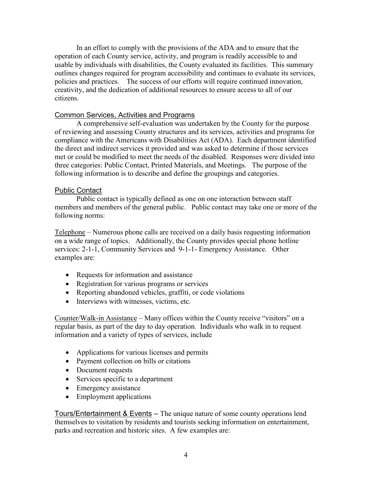In an effort to comply with the provisions of the ADA and to ensure that the operation of each County service, activity, and program is readily accessible to and usable by individuals with disabilities, the County evaluated its facilities. This summary outlines changes required for program accessibility and continues to evaluate its services, policies and practices. The success of our efforts will require continued innovation, creativity, and the dedication of additional resources to ensure access to all of our citizens.

### Common Services, Activities and Programs

A comprehensive self-evaluation was undertaken by the County for the purpose of reviewing and assessing County structures and its services, activities and programs for compliance with the Americans with Disabilities Act (ADA). Each department identified the direct and indirect services it provided and was asked to determine if those services met or could be modified to meet the needs of the disabled. Responses were divided into three categories: Public Contact, Printed Materials, and Meetings. The purpose of the following information is to describe and define the groupings and categories.

### Public Contact

Public contact is typically defined as one on one interaction between staff members and members of the general public. Public contact may take one or more of the following norms:

Telephone – Numerous phone calls are received on a daily basis requesting information on a wide range of topics. Additionally, the County provides special phone hotline services: 2-1-1, Community Services and 9-1-1- Emergency Assistance. Other examples are:

- Requests for information and assistance
- Registration for various programs or services
- Reporting abandoned vehicles, graffiti, or code violations
- Interviews with witnesses, victims, etc.

Counter/Walk-in Assistance – Many offices within the County receive "visitors" on a regular basis, as part of the day to day operation. Individuals who walk in to request information and a variety of types of services, include

- Applications for various licenses and permits
- Payment collection on bills or citations
- Document requests
- Services specific to a department
- Emergency assistance
- Employment applications

Tours/Entertainment & Events – The unique nature of some county operations lend themselves to visitation by residents and tourists seeking information on entertainment, parks and recreation and historic sites. A few examples are: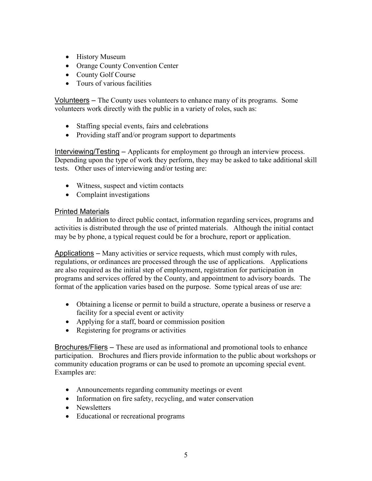- History Museum
- Orange County Convention Center
- County Golf Course
- Tours of various facilities

Volunteers – The County uses volunteers to enhance many of its programs. Some volunteers work directly with the public in a variety of roles, such as:

- Staffing special events, fairs and celebrations
- Providing staff and/or program support to departments

Interviewing/Testing – Applicants for employment go through an interview process. Depending upon the type of work they perform, they may be asked to take additional skill tests. Other uses of interviewing and/or testing are:

- Witness, suspect and victim contacts
- Complaint investigations

### Printed Materials

In addition to direct public contact, information regarding services, programs and activities is distributed through the use of printed materials. Although the initial contact may be by phone, a typical request could be for a brochure, report or application.

Applications – Many activities or service requests, which must comply with rules, regulations, or ordinances are processed through the use of applications. Applications are also required as the initial step of employment, registration for participation in programs and services offered by the County, and appointment to advisory boards. The format of the application varies based on the purpose. Some typical areas of use are:

- Obtaining a license or permit to build a structure, operate a business or reserve a facility for a special event or activity
- Applying for a staff, board or commission position
- Registering for programs or activities

Brochures/Fliers – These are used as informational and promotional tools to enhance participation. Brochures and fliers provide information to the public about workshops or community education programs or can be used to promote an upcoming special event. Examples are:

- Announcements regarding community meetings or event
- Information on fire safety, recycling, and water conservation
- Newsletters
- Educational or recreational programs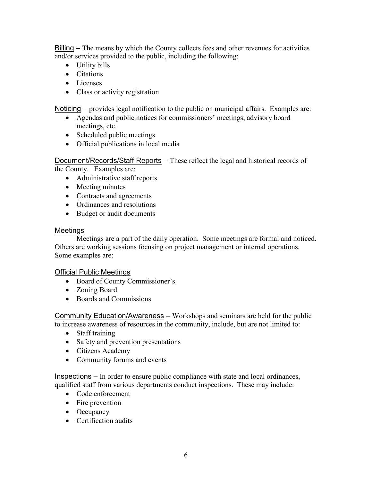Billing – The means by which the County collects fees and other revenues for activities and/or services provided to the public, including the following:

- Utility bills
- Citations
- Licenses
- Class or activity registration

Noticing – provides legal notification to the public on municipal affairs. Examples are:

- Agendas and public notices for commissioners' meetings, advisory board meetings, etc.
- Scheduled public meetings
- Official publications in local media

Document/Records/Staff Reports – These reflect the legal and historical records of

the County. Examples are:

- Administrative staff reports
- Meeting minutes
- Contracts and agreements
- Ordinances and resolutions
- Budget or audit documents

### Meetings

Meetings are a part of the daily operation. Some meetings are formal and noticed. Others are working sessions focusing on project management or internal operations. Some examples are:

### Official Public Meetings

- Board of County Commissioner's
- Zoning Board
- Boards and Commissions

Community Education/Awareness – Workshops and seminars are held for the public to increase awareness of resources in the community, include, but are not limited to:

- Staff training
- Safety and prevention presentations
- Citizens Academy
- Community forums and events

Inspections – In order to ensure public compliance with state and local ordinances, qualified staff from various departments conduct inspections. These may include:

- Code enforcement
- Fire prevention
- Occupancy
- Certification audits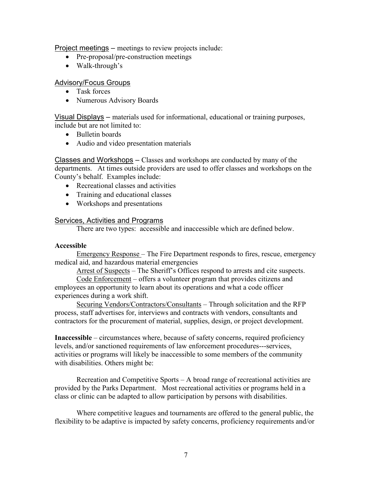Project meetings – meetings to review projects include:

- Pre-proposal/pre-construction meetings
- Walk-through's

### Advisory/Focus Groups

- Task forces
- Numerous Advisory Boards

Visual Displays – materials used for informational, educational or training purposes, include but are not limited to:

- Bulletin boards
- Audio and video presentation materials

Classes and Workshops  $-$  Classes and workshops are conducted by many of the departments. At times outside providers are used to offer classes and workshops on the County's behalf. Examples include:

- Recreational classes and activities
- Training and educational classes
- Workshops and presentations

# Services, Activities and Programs

There are two types: accessible and inaccessible which are defined below.

### **Accessible**

Emergency Response – The Fire Department responds to fires, rescue, emergency medical aid, and hazardous material emergencies

Arrest of Suspects – The Sheriff's Offices respond to arrests and cite suspects.

Code Enforcement – offers a volunteer program that provides citizens and employees an opportunity to learn about its operations and what a code officer experiences during a work shift.

Securing Vendors/Contractors/Consultants – Through solicitation and the RFP process, staff advertises for, interviews and contracts with vendors, consultants and contractors for the procurement of material, supplies, design, or project development.

**Inaccessible** – circumstances where, because of safety concerns, required proficiency levels, and/or sanctioned requirements of law enforcement procedures---services, activities or programs will likely be inaccessible to some members of the community with disabilities. Others might be:

Recreation and Competitive Sports – A broad range of recreational activities are provided by the Parks Department. Most recreational activities or programs held in a class or clinic can be adapted to allow participation by persons with disabilities.

Where competitive leagues and tournaments are offered to the general public, the flexibility to be adaptive is impacted by safety concerns, proficiency requirements and/or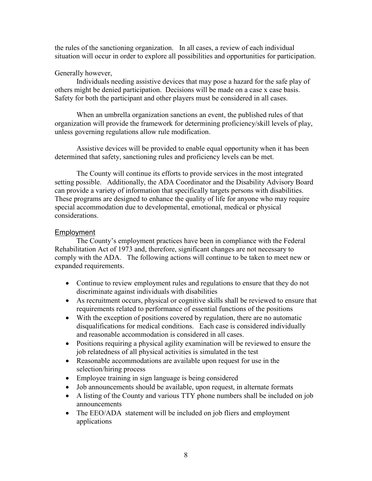the rules of the sanctioning organization. In all cases, a review of each individual situation will occur in order to explore all possibilities and opportunities for participation.

### Generally however,

Individuals needing assistive devices that may pose a hazard for the safe play of others might be denied participation. Decisions will be made on a case x case basis. Safety for both the participant and other players must be considered in all cases.

When an umbrella organization sanctions an event, the published rules of that organization will provide the framework for determining proficiency/skill levels of play, unless governing regulations allow rule modification.

Assistive devices will be provided to enable equal opportunity when it has been determined that safety, sanctioning rules and proficiency levels can be met.

The County will continue its efforts to provide services in the most integrated setting possible. Additionally, the ADA Coordinator and the Disability Advisory Board can provide a variety of information that specifically targets persons with disabilities. These programs are designed to enhance the quality of life for anyone who may require special accommodation due to developmental, emotional, medical or physical considerations.

# Employment

The County's employment practices have been in compliance with the Federal Rehabilitation Act of 1973 and, therefore, significant changes are not necessary to comply with the ADA. The following actions will continue to be taken to meet new or expanded requirements.

- Continue to review employment rules and regulations to ensure that they do not discriminate against individuals with disabilities
- As recruitment occurs, physical or cognitive skills shall be reviewed to ensure that requirements related to performance of essential functions of the positions
- With the exception of positions covered by regulation, there are no automatic disqualifications for medical conditions. Each case is considered individually and reasonable accommodation is considered in all cases.
- Positions requiring a physical agility examination will be reviewed to ensure the job relatedness of all physical activities is simulated in the test
- Reasonable accommodations are available upon request for use in the selection/hiring process
- Employee training in sign language is being considered
- Job announcements should be available, upon request, in alternate formats
- A listing of the County and various TTY phone numbers shall be included on job announcements
- The EEO/ADA statement will be included on job fliers and employment applications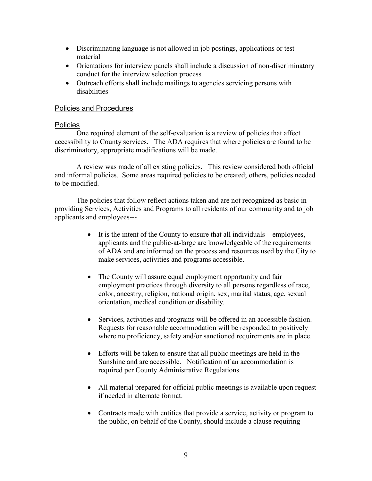- Discriminating language is not allowed in job postings, applications or test material
- Orientations for interview panels shall include a discussion of non-discriminatory conduct for the interview selection process
- Outreach efforts shall include mailings to agencies servicing persons with disabilities

### Policies and Procedures

#### Policies

One required element of the self-evaluation is a review of policies that affect accessibility to County services. The ADA requires that where policies are found to be discriminatory, appropriate modifications will be made.

A review was made of all existing policies. This review considered both official and informal policies. Some areas required policies to be created; others, policies needed to be modified.

The policies that follow reflect actions taken and are not recognized as basic in providing Services, Activities and Programs to all residents of our community and to job applicants and employees---

- $\bullet$  It is the intent of the County to ensure that all individuals employees, applicants and the public-at-large are knowledgeable of the requirements of ADA and are informed on the process and resources used by the City to make services, activities and programs accessible.
- The County will assure equal employment opportunity and fair employment practices through diversity to all persons regardless of race, color, ancestry, religion, national origin, sex, marital status, age, sexual orientation, medical condition or disability.
- Services, activities and programs will be offered in an accessible fashion. Requests for reasonable accommodation will be responded to positively where no proficiency, safety and/or sanctioned requirements are in place.
- Efforts will be taken to ensure that all public meetings are held in the Sunshine and are accessible. Notification of an accommodation is required per County Administrative Regulations.
- All material prepared for official public meetings is available upon request if needed in alternate format.
- Contracts made with entities that provide a service, activity or program to the public, on behalf of the County, should include a clause requiring  $\bullet$  Contracts made with entities that provide a service, activity of program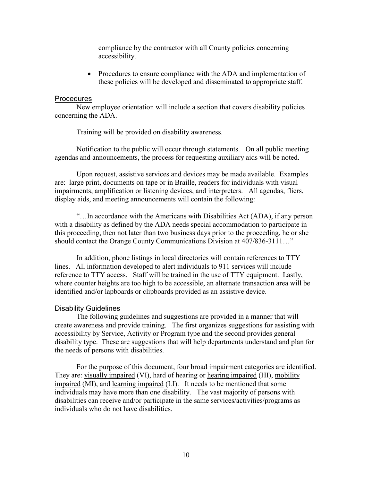compliance by the contractor with all County policies concerning accessibility.

• Procedures to ensure compliance with the ADA and implementation of these policies will be developed and disseminated to appropriate staff.

#### Procedures

New employee orientation will include a section that covers disability policies concerning the ADA.

Training will be provided on disability awareness.

Notification to the public will occur through statements. On all public meeting agendas and announcements, the process for requesting auxiliary aids will be noted.

Upon request, assistive services and devices may be made available. Examples are: large print, documents on tape or in Braille, readers for individuals with visual impairments, amplification or listening devices, and interpreters. All agendas, fliers, display aids, and meeting announcements will contain the following:

"…In accordance with the Americans with Disabilities Act (ADA), if any person with a disability as defined by the ADA needs special accommodation to participate in this proceeding, then not later than two business days prior to the proceeding, he or she should contact the Orange County Communications Division at 407/836-3111…"

In addition, phone listings in local directories will contain references to TTY lines. All information developed to alert individuals to 911 services will include reference to TTY access. Staff will be trained in the use of TTY equipment. Lastly, where counter heights are too high to be accessible, an alternate transaction area will be identified and/or lapboards or clipboards provided as an assistive device.

#### Disability Guidelines

The following guidelines and suggestions are provided in a manner that will create awareness and provide training. The first organizes suggestions for assisting with accessibility by Service, Activity or Program type and the second provides general disability type. These are suggestions that will help departments understand and plan for the needs of persons with disabilities.

For the purpose of this document, four broad impairment categories are identified. They are: visually impaired (VI), hard of hearing or hearing impaired (HI), mobility impaired (MI), and learning impaired (LI). It needs to be mentioned that some individuals may have more than one disability. The vast majority of persons with disabilities can receive and/or participate in the same services/activities/programs as individuals who do not have disabilities.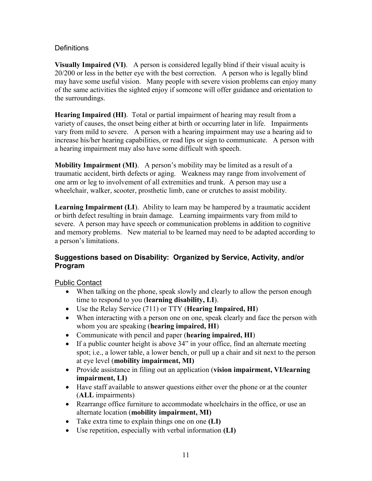# **Definitions**

**Visually Impaired (VI)**. A person is considered legally blind if their visual acuity is 20/200 or less in the better eye with the best correction. A person who is legally blind may have some useful vision. Many people with severe vision problems can enjoy many of the same activities the sighted enjoy if someone will offer guidance and orientation to the surroundings.

**Hearing Impaired (HI)**. Total or partial impairment of hearing may result from a variety of causes, the onset being either at birth or occurring later in life. Impairments vary from mild to severe. A person with a hearing impairment may use a hearing aid to increase his/her hearing capabilities, or read lips or sign to communicate. A person with a hearing impairment may also have some difficult with speech.

**Mobility Impairment (MI)**. A person's mobility may be limited as a result of a traumatic accident, birth defects or aging. Weakness may range from involvement of one arm or leg to involvement of all extremities and trunk. A person may use a wheelchair, walker, scooter, prosthetic limb, cane or crutches to assist mobility.

**Learning Impairment (LI**). Ability to learn may be hampered by a traumatic accident or birth defect resulting in brain damage. Learning impairments vary from mild to severe. A person may have speech or communication problems in addition to cognitive and memory problems. New material to be learned may need to be adapted according to a person's limitations.

# **Suggestions based on Disability: Organized by Service, Activity, and/or Program**

Public Contact

- When talking on the phone, speak slowly and clearly to allow the person enough time to respond to you (**learning disability, LI**).
- Use the Relay Service (711) or TTY (**Hearing Impaired, HI**)
- When interacting with a person one on one, speak clearly and face the person with whom you are speaking (**hearing impaired, HI**)
- Communicate with pencil and paper (**hearing impaired, HI**)
- If a public counter height is above 34" in your office, find an alternate meeting spot; i.e., a lower table, a lower bench, or pull up a chair and sit next to the person at eye level (**mobility impairment, MI)**
- Provide assistance in filing out an application (**vision impairment, VI/learning impairment, LI)**
- Have staff available to answer questions either over the phone or at the counter (**ALL** impairments)
- Rearrange office furniture to accommodate wheelchairs in the office, or use an alternate location (**mobility impairment, MI)**
- Take extra time to explain things one on one **(LI)**
- Use repetition, especially with verbal information **(LI)**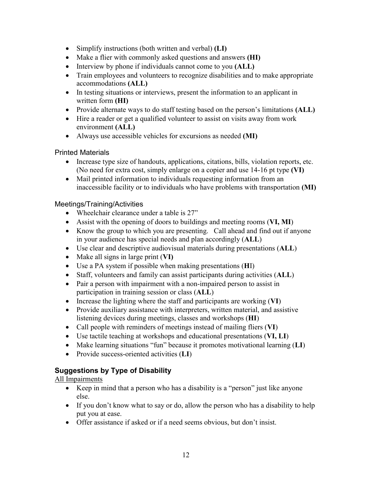- Simplify instructions (both written and verbal) **(LI)**
- Make a flier with commonly asked questions and answers **(HI)**
- Interview by phone if individuals cannot come to you **(ALL)**
- Train employees and volunteers to recognize disabilities and to make appropriate accommodations **(ALL)**
- In testing situations or interviews, present the information to an applicant in written form **(HI)**
- Provide alternate ways to do staff testing based on the person's limitations **(ALL)**
- Hire a reader or get a qualified volunteer to assist on visits away from work environment **(ALL)**
- Always use accessible vehicles for excursions as needed **(MI)**

# Printed Materials

- Increase type size of handouts, applications, citations, bills, violation reports, etc. (No need for extra cost, simply enlarge on a copier and use 14-16 pt type **(VI)**
- Mail printed information to individuals requesting information from an inaccessible facility or to individuals who have problems with transportation **(MI)**

# Meetings/Training/Activities

- Wheelchair clearance under a table is 27"
- Assist with the opening of doors to buildings and meeting rooms (**VI, MI**)
- Know the group to which you are presenting. Call ahead and find out if anyone in your audience has special needs and plan accordingly (**ALL**)
- Use clear and descriptive audiovisual materials during presentations (**ALL**)
- Make all signs in large print (**VI)**
- Use a PA system if possible when making presentations (**H**I)
- Staff, volunteers and family can assist participants during activities (**ALL**)
- Pair a person with impairment with a non-impaired person to assist in participation in training session or class (**ALL**)
- Increase the lighting where the staff and participants are working (**VI**)
- Provide auxiliary assistance with interpreters, written material, and assistive listening devices during meetings, classes and workshops (**HI**)
- Call people with reminders of meetings instead of mailing fliers (**VI**)
- Use tactile teaching at workshops and educational presentations (**VI, LI**)
- Make learning situations "fun" because it promotes motivational learning (**LI**)
- Provide success-oriented activities (**LI**)

# **Suggestions by Type of Disability**

# All Impairments

- Keep in mind that a person who has a disability is a "person" just like anyone else.
- If you don't know what to say or do, allow the person who has a disability to help put you at ease.
- Offer assistance if asked or if a need seems obvious, but don't insist.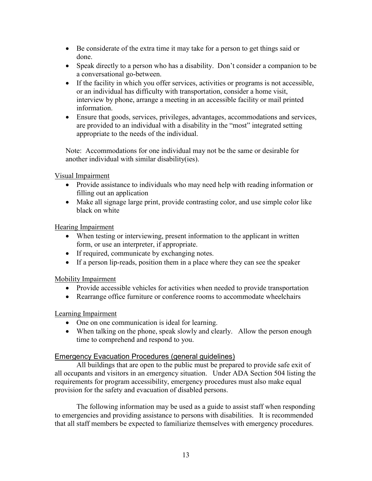- Be considerate of the extra time it may take for a person to get things said or done.
- Speak directly to a person who has a disability. Don't consider a companion to be a conversational go-between.
- If the facility in which you offer services, activities or programs is not accessible, or an individual has difficulty with transportation, consider a home visit, interview by phone, arrange a meeting in an accessible facility or mail printed information.
- Ensure that goods, services, privileges, advantages, accommodations and services, are provided to an individual with a disability in the "most" integrated setting appropriate to the needs of the individual.

Note: Accommodations for one individual may not be the same or desirable for another individual with similar disability(ies).

Visual Impairment

- Provide assistance to individuals who may need help with reading information or filling out an application
- Make all signage large print, provide contrasting color, and use simple color like black on white

Hearing Impairment

- When testing or interviewing, present information to the applicant in written form, or use an interpreter, if appropriate.
- If required, communicate by exchanging notes.
- If a person lip-reads, position them in a place where they can see the speaker

Mobility Impairment

- Provide accessible vehicles for activities when needed to provide transportation
- Rearrange office furniture or conference rooms to accommodate wheelchairs

Learning Impairment

- One on one communication is ideal for learning.
- When talking on the phone, speak slowly and clearly. Allow the person enough time to comprehend and respond to you.

#### Emergency Evacuation Procedures (general guidelines)

All buildings that are open to the public must be prepared to provide safe exit of all occupants and visitors in an emergency situation. Under ADA Section 504 listing the requirements for program accessibility, emergency procedures must also make equal provision for the safety and evacuation of disabled persons.

The following information may be used as a guide to assist staff when responding to emergencies and providing assistance to persons with disabilities. It is recommended that all staff members be expected to familiarize themselves with emergency procedures.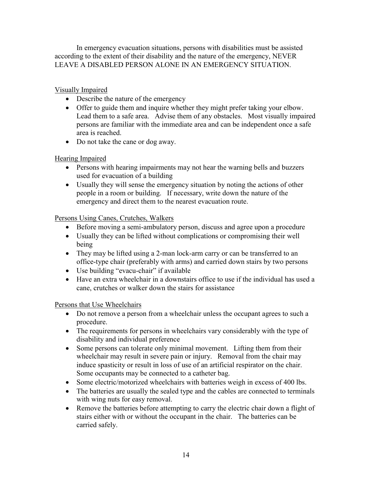In emergency evacuation situations, persons with disabilities must be assisted according to the extent of their disability and the nature of the emergency, NEVER LEAVE A DISABLED PERSON ALONE IN AN EMERGENCY SITUATION.

# Visually Impaired

- Describe the nature of the emergency
- Offer to guide them and inquire whether they might prefer taking your elbow. Lead them to a safe area. Advise them of any obstacles. Most visually impaired persons are familiar with the immediate area and can be independent once a safe area is reached.
- Do not take the cane or dog away.

# Hearing Impaired

- Persons with hearing impairments may not hear the warning bells and buzzers used for evacuation of a building
- Usually they will sense the emergency situation by noting the actions of other people in a room or building. If necessary, write down the nature of the emergency and direct them to the nearest evacuation route.

### Persons Using Canes, Crutches, Walkers

- Before moving a semi-ambulatory person, discuss and agree upon a procedure
- Usually they can be lifted without complications or compromising their well being
- They may be lifted using a 2-man lock-arm carry or can be transferred to an office-type chair (preferably with arms) and carried down stairs by two persons
- Use building "evacu-chair" if available
- Have an extra wheelchair in a downstairs office to use if the individual has used a cane, crutches or walker down the stairs for assistance

### Persons that Use Wheelchairs

- Do not remove a person from a wheelchair unless the occupant agrees to such a procedure.
- The requirements for persons in wheelchairs vary considerably with the type of disability and individual preference
- Some persons can tolerate only minimal movement. Lifting them from their wheelchair may result in severe pain or injury. Removal from the chair may induce spasticity or result in loss of use of an artificial respirator on the chair. Some occupants may be connected to a catheter bag.
- Some electric/motorized wheelchairs with batteries weigh in excess of 400 lbs.
- The batteries are usually the sealed type and the cables are connected to terminals with wing nuts for easy removal.
- Remove the batteries before attempting to carry the electric chair down a flight of stairs either with or without the occupant in the chair. The batteries can be carried safely.